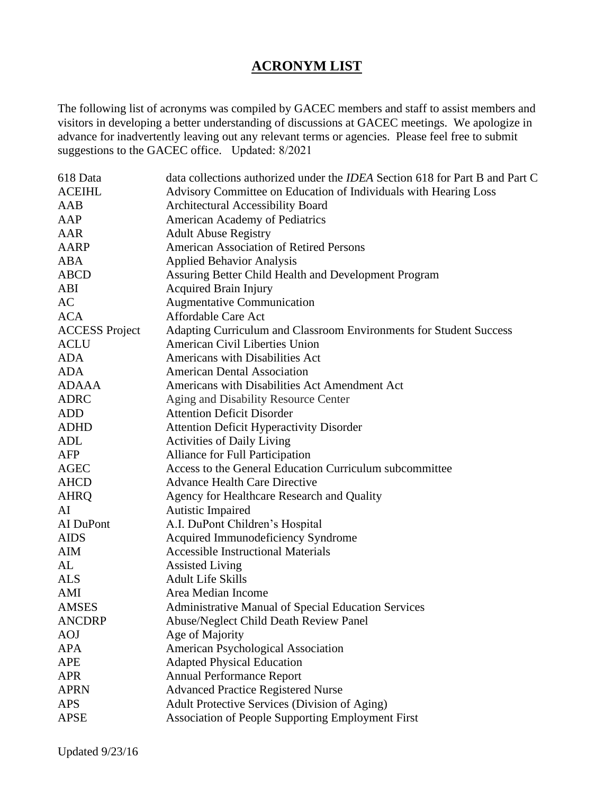## **ACRONYM LIST**

The following list of acronyms was compiled by GACEC members and staff to assist members and visitors in developing a better understanding of discussions at GACEC meetings. We apologize in advance for inadvertently leaving out any relevant terms or agencies. Please feel free to submit suggestions to the GACEC office. Updated: 8/2021

| 618 Data              | data collections authorized under the <i>IDEA</i> Section 618 for Part B and Part C |
|-----------------------|-------------------------------------------------------------------------------------|
| <b>ACEIHL</b>         | Advisory Committee on Education of Individuals with Hearing Loss                    |
| AAB                   | Architectural Accessibility Board                                                   |
| AAP                   | American Academy of Pediatrics                                                      |
| AAR                   | <b>Adult Abuse Registry</b>                                                         |
| AARP                  | <b>American Association of Retired Persons</b>                                      |
| ABA                   | <b>Applied Behavior Analysis</b>                                                    |
| <b>ABCD</b>           | Assuring Better Child Health and Development Program                                |
| ABI                   | <b>Acquired Brain Injury</b>                                                        |
| AC                    | <b>Augmentative Communication</b>                                                   |
| <b>ACA</b>            | Affordable Care Act                                                                 |
| <b>ACCESS Project</b> | Adapting Curriculum and Classroom Environments for Student Success                  |
| <b>ACLU</b>           | <b>American Civil Liberties Union</b>                                               |
| <b>ADA</b>            | Americans with Disabilities Act                                                     |
| <b>ADA</b>            | <b>American Dental Association</b>                                                  |
| <b>ADAAA</b>          | Americans with Disabilities Act Amendment Act                                       |
| <b>ADRC</b>           | Aging and Disability Resource Center                                                |
| <b>ADD</b>            | <b>Attention Deficit Disorder</b>                                                   |
| <b>ADHD</b>           | <b>Attention Deficit Hyperactivity Disorder</b>                                     |
| ADL                   | <b>Activities of Daily Living</b>                                                   |
| AFP                   | Alliance for Full Participation                                                     |
| <b>AGEC</b>           | Access to the General Education Curriculum subcommittee                             |
| <b>AHCD</b>           | <b>Advance Health Care Directive</b>                                                |
| <b>AHRQ</b>           | Agency for Healthcare Research and Quality                                          |
| AI                    | Autistic Impaired                                                                   |
| AI DuPont             | A.I. DuPont Children's Hospital                                                     |
| <b>AIDS</b>           | Acquired Immunodeficiency Syndrome                                                  |
| AIM                   | <b>Accessible Instructional Materials</b>                                           |
| AL                    | <b>Assisted Living</b>                                                              |
| <b>ALS</b>            | <b>Adult Life Skills</b>                                                            |
| AMI                   | Area Median Income                                                                  |
| <b>AMSES</b>          | Administrative Manual of Special Education Services                                 |
| <b>ANCDRP</b>         | <b>Abuse/Neglect Child Death Review Panel</b>                                       |
| <b>AOJ</b>            | Age of Majority                                                                     |
| <b>APA</b>            | American Psychological Association                                                  |
| <b>APE</b>            | <b>Adapted Physical Education</b>                                                   |
| <b>APR</b>            | <b>Annual Performance Report</b>                                                    |
| <b>APRN</b>           | <b>Advanced Practice Registered Nurse</b>                                           |
| <b>APS</b>            | Adult Protective Services (Division of Aging)                                       |
| <b>APSE</b>           | Association of People Supporting Employment First                                   |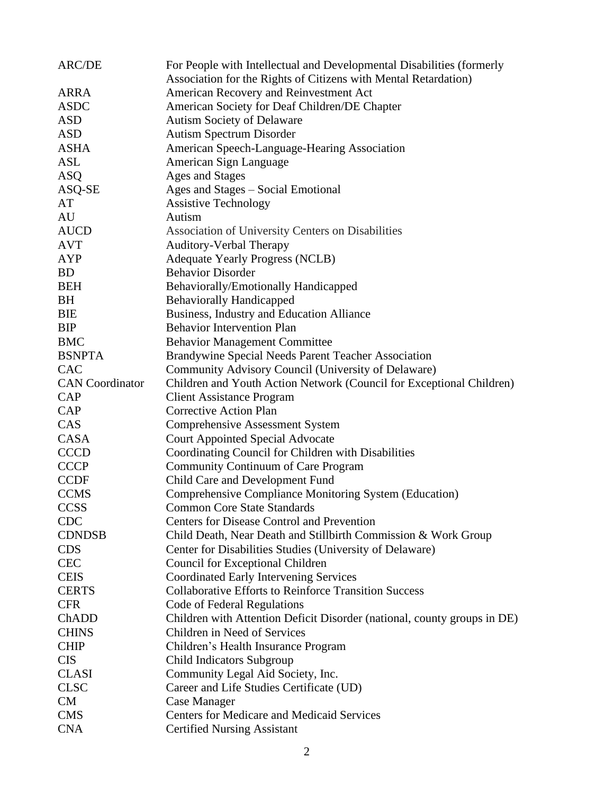| <b>ARC/DE</b>          | For People with Intellectual and Developmental Disabilities (formerly    |
|------------------------|--------------------------------------------------------------------------|
|                        | Association for the Rights of Citizens with Mental Retardation)          |
| <b>ARRA</b>            | American Recovery and Reinvestment Act                                   |
| <b>ASDC</b>            | American Society for Deaf Children/DE Chapter                            |
| <b>ASD</b>             | <b>Autism Society of Delaware</b>                                        |
| <b>ASD</b>             | <b>Autism Spectrum Disorder</b>                                          |
| <b>ASHA</b>            | American Speech-Language-Hearing Association                             |
| <b>ASL</b>             | American Sign Language                                                   |
| <b>ASQ</b>             | Ages and Stages                                                          |
| ASQ-SE                 | Ages and Stages – Social Emotional                                       |
| AT                     | <b>Assistive Technology</b>                                              |
| AU                     | Autism                                                                   |
| <b>AUCD</b>            | Association of University Centers on Disabilities                        |
| <b>AVT</b>             | <b>Auditory-Verbal Therapy</b>                                           |
| <b>AYP</b>             | <b>Adequate Yearly Progress (NCLB)</b>                                   |
| <b>BD</b>              | <b>Behavior Disorder</b>                                                 |
| <b>BEH</b>             | Behaviorally/Emotionally Handicapped                                     |
| <b>BH</b>              | <b>Behaviorally Handicapped</b>                                          |
| <b>BIE</b>             | Business, Industry and Education Alliance                                |
| <b>BIP</b>             | <b>Behavior Intervention Plan</b>                                        |
| <b>BMC</b>             | <b>Behavior Management Committee</b>                                     |
| <b>BSNPTA</b>          | Brandywine Special Needs Parent Teacher Association                      |
| <b>CAC</b>             | Community Advisory Council (University of Delaware)                      |
| <b>CAN</b> Coordinator | Children and Youth Action Network (Council for Exceptional Children)     |
| CAP                    | <b>Client Assistance Program</b>                                         |
| CAP                    | <b>Corrective Action Plan</b>                                            |
| CAS                    | <b>Comprehensive Assessment System</b>                                   |
| CASA                   | <b>Court Appointed Special Advocate</b>                                  |
| <b>CCCD</b>            | Coordinating Council for Children with Disabilities                      |
| <b>CCCP</b>            | Community Continuum of Care Program                                      |
| <b>CCDF</b>            | Child Care and Development Fund                                          |
| <b>CCMS</b>            | Comprehensive Compliance Monitoring System (Education)                   |
| <b>CCSS</b>            | <b>Common Core State Standards</b>                                       |
| <b>CDC</b>             | <b>Centers for Disease Control and Prevention</b>                        |
| <b>CDNDSB</b>          | Child Death, Near Death and Stillbirth Commission & Work Group           |
| <b>CDS</b>             | Center for Disabilities Studies (University of Delaware)                 |
| <b>CEC</b>             | Council for Exceptional Children                                         |
| <b>CEIS</b>            | <b>Coordinated Early Intervening Services</b>                            |
| <b>CERTS</b>           | <b>Collaborative Efforts to Reinforce Transition Success</b>             |
| <b>CFR</b>             | Code of Federal Regulations                                              |
| ChADD                  | Children with Attention Deficit Disorder (national, county groups in DE) |
| <b>CHINS</b>           | Children in Need of Services                                             |
| <b>CHIP</b>            | Children's Health Insurance Program                                      |
| <b>CIS</b>             | Child Indicators Subgroup                                                |
| <b>CLASI</b>           | Community Legal Aid Society, Inc.                                        |
| <b>CLSC</b>            | Career and Life Studies Certificate (UD)                                 |
| <b>CM</b>              | Case Manager                                                             |
| <b>CMS</b>             | <b>Centers for Medicare and Medicaid Services</b>                        |
| <b>CNA</b>             | <b>Certified Nursing Assistant</b>                                       |
|                        |                                                                          |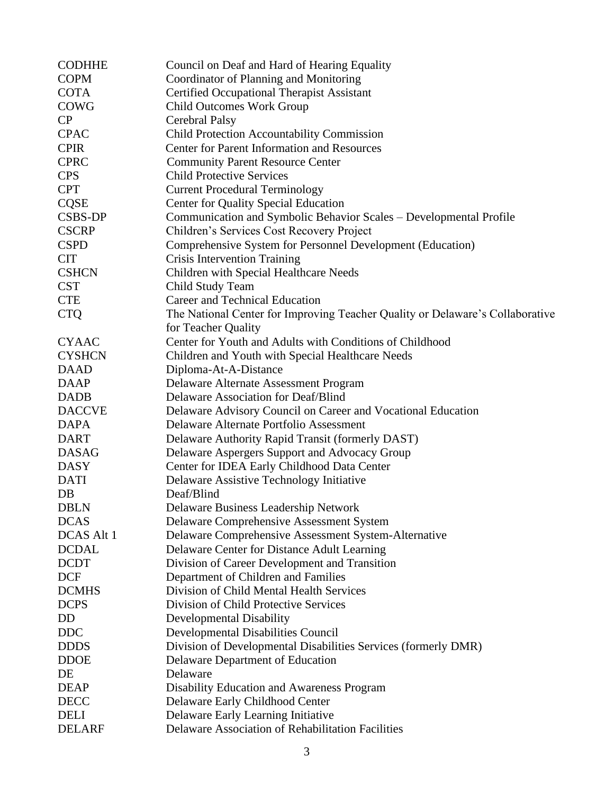| <b>CODHHE</b>     | Council on Deaf and Hard of Hearing Equality                                  |
|-------------------|-------------------------------------------------------------------------------|
| <b>COPM</b>       | Coordinator of Planning and Monitoring                                        |
| <b>COTA</b>       | <b>Certified Occupational Therapist Assistant</b>                             |
| <b>COWG</b>       | <b>Child Outcomes Work Group</b>                                              |
| CP                | <b>Cerebral Palsy</b>                                                         |
| <b>CPAC</b>       | <b>Child Protection Accountability Commission</b>                             |
| <b>CPIR</b>       | <b>Center for Parent Information and Resources</b>                            |
| <b>CPRC</b>       | <b>Community Parent Resource Center</b>                                       |
| <b>CPS</b>        | <b>Child Protective Services</b>                                              |
| <b>CPT</b>        | <b>Current Procedural Terminology</b>                                         |
| <b>CQSE</b>       | <b>Center for Quality Special Education</b>                                   |
| CSBS-DP           | Communication and Symbolic Behavior Scales - Developmental Profile            |
| <b>CSCRP</b>      | Children's Services Cost Recovery Project                                     |
| <b>CSPD</b>       | Comprehensive System for Personnel Development (Education)                    |
| <b>CIT</b>        | Crisis Intervention Training                                                  |
| <b>CSHCN</b>      | Children with Special Healthcare Needs                                        |
| <b>CST</b>        | Child Study Team                                                              |
| <b>CTE</b>        | Career and Technical Education                                                |
| <b>CTQ</b>        | The National Center for Improving Teacher Quality or Delaware's Collaborative |
|                   | for Teacher Quality                                                           |
| <b>CYAAC</b>      | Center for Youth and Adults with Conditions of Childhood                      |
| <b>CYSHCN</b>     | Children and Youth with Special Healthcare Needs                              |
| <b>DAAD</b>       | Diploma-At-A-Distance                                                         |
| <b>DAAP</b>       | Delaware Alternate Assessment Program                                         |
| <b>DADB</b>       | Delaware Association for Deaf/Blind                                           |
| <b>DACCVE</b>     | Delaware Advisory Council on Career and Vocational Education                  |
| <b>DAPA</b>       | Delaware Alternate Portfolio Assessment                                       |
| <b>DART</b>       | Delaware Authority Rapid Transit (formerly DAST)                              |
| <b>DASAG</b>      | Delaware Aspergers Support and Advocacy Group                                 |
| <b>DASY</b>       | Center for IDEA Early Childhood Data Center                                   |
| <b>DATI</b>       | Delaware Assistive Technology Initiative                                      |
| DB                | Deaf/Blind                                                                    |
| <b>DBLN</b>       | Delaware Business Leadership Network                                          |
| <b>DCAS</b>       | Delaware Comprehensive Assessment System                                      |
| <b>DCAS Alt 1</b> | Delaware Comprehensive Assessment System-Alternative                          |
| <b>DCDAL</b>      | Delaware Center for Distance Adult Learning                                   |
| <b>DCDT</b>       | Division of Career Development and Transition                                 |
| <b>DCF</b>        | Department of Children and Families                                           |
| <b>DCMHS</b>      | Division of Child Mental Health Services                                      |
| <b>DCPS</b>       | Division of Child Protective Services                                         |
| DD                | Developmental Disability                                                      |
| <b>DDC</b>        | Developmental Disabilities Council                                            |
| <b>DDDS</b>       | Division of Developmental Disabilities Services (formerly DMR)                |
| <b>DDOE</b>       | Delaware Department of Education                                              |
| DE                | Delaware                                                                      |
| <b>DEAP</b>       | Disability Education and Awareness Program                                    |
| <b>DECC</b>       | Delaware Early Childhood Center                                               |
| <b>DELI</b>       | Delaware Early Learning Initiative                                            |
| <b>DELARF</b>     | Delaware Association of Rehabilitation Facilities                             |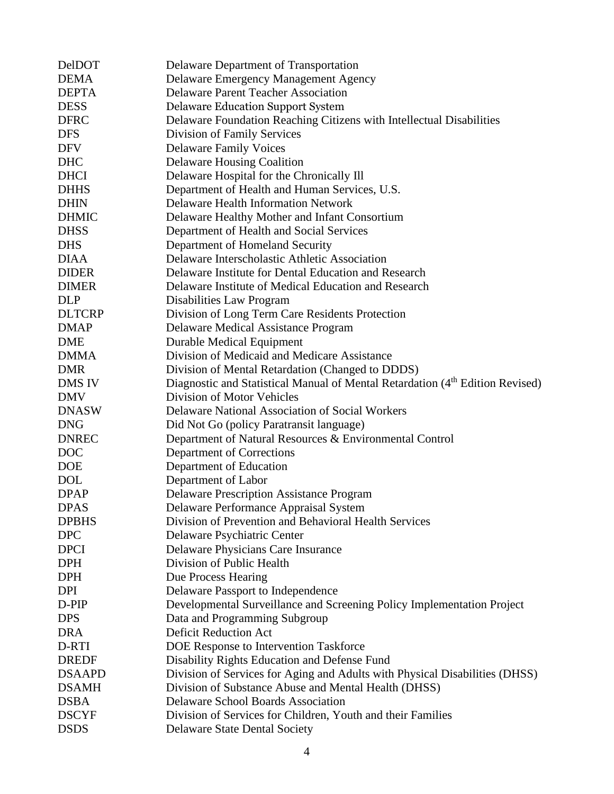| <b>DelDOT</b> | Delaware Department of Transportation                                                     |
|---------------|-------------------------------------------------------------------------------------------|
| <b>DEMA</b>   | Delaware Emergency Management Agency                                                      |
| <b>DEPTA</b>  | <b>Delaware Parent Teacher Association</b>                                                |
| <b>DESS</b>   | <b>Delaware Education Support System</b>                                                  |
| <b>DFRC</b>   | Delaware Foundation Reaching Citizens with Intellectual Disabilities                      |
| <b>DFS</b>    | Division of Family Services                                                               |
| <b>DFV</b>    | <b>Delaware Family Voices</b>                                                             |
| <b>DHC</b>    | <b>Delaware Housing Coalition</b>                                                         |
| <b>DHCI</b>   | Delaware Hospital for the Chronically Ill                                                 |
| <b>DHHS</b>   | Department of Health and Human Services, U.S.                                             |
| <b>DHIN</b>   | <b>Delaware Health Information Network</b>                                                |
| <b>DHMIC</b>  | Delaware Healthy Mother and Infant Consortium                                             |
| <b>DHSS</b>   | Department of Health and Social Services                                                  |
| <b>DHS</b>    | Department of Homeland Security                                                           |
| <b>DIAA</b>   | Delaware Interscholastic Athletic Association                                             |
| <b>DIDER</b>  | Delaware Institute for Dental Education and Research                                      |
| <b>DIMER</b>  | Delaware Institute of Medical Education and Research                                      |
| <b>DLP</b>    | Disabilities Law Program                                                                  |
| <b>DLTCRP</b> | Division of Long Term Care Residents Protection                                           |
| <b>DMAP</b>   | <b>Delaware Medical Assistance Program</b>                                                |
| <b>DME</b>    | Durable Medical Equipment                                                                 |
| <b>DMMA</b>   | Division of Medicaid and Medicare Assistance                                              |
| <b>DMR</b>    | Division of Mental Retardation (Changed to DDDS)                                          |
| <b>DMS IV</b> | Diagnostic and Statistical Manual of Mental Retardation (4 <sup>th</sup> Edition Revised) |
| <b>DMV</b>    | Division of Motor Vehicles                                                                |
| <b>DNASW</b>  | Delaware National Association of Social Workers                                           |
| <b>DNG</b>    | Did Not Go (policy Paratransit language)                                                  |
| <b>DNREC</b>  | Department of Natural Resources & Environmental Control                                   |
| <b>DOC</b>    | Department of Corrections                                                                 |
| <b>DOE</b>    | Department of Education                                                                   |
| <b>DOL</b>    | Department of Labor                                                                       |
| <b>DPAP</b>   | <b>Delaware Prescription Assistance Program</b>                                           |
| <b>DPAS</b>   | Delaware Performance Appraisal System                                                     |
| <b>DPBHS</b>  | Division of Prevention and Behavioral Health Services                                     |
| <b>DPC</b>    | Delaware Psychiatric Center                                                               |
| <b>DPCI</b>   | Delaware Physicians Care Insurance                                                        |
| <b>DPH</b>    | Division of Public Health                                                                 |
| <b>DPH</b>    | Due Process Hearing                                                                       |
| <b>DPI</b>    | Delaware Passport to Independence                                                         |
| D-PIP         | Developmental Surveillance and Screening Policy Implementation Project                    |
| <b>DPS</b>    | Data and Programming Subgroup                                                             |
| <b>DRA</b>    | <b>Deficit Reduction Act</b>                                                              |
| D-RTI         | DOE Response to Intervention Taskforce                                                    |
| <b>DREDF</b>  | Disability Rights Education and Defense Fund                                              |
| <b>DSAAPD</b> | Division of Services for Aging and Adults with Physical Disabilities (DHSS)               |
| <b>DSAMH</b>  | Division of Substance Abuse and Mental Health (DHSS)                                      |
| <b>DSBA</b>   | <b>Delaware School Boards Association</b>                                                 |
| <b>DSCYF</b>  | Division of Services for Children, Youth and their Families                               |
| <b>DSDS</b>   | <b>Delaware State Dental Society</b>                                                      |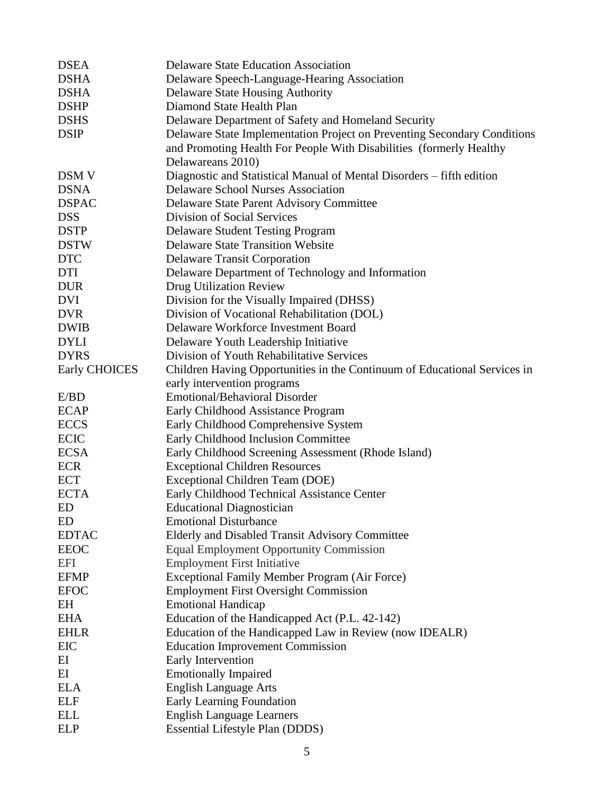| <b>DSEA</b>          | <b>Delaware State Education Association</b>                               |
|----------------------|---------------------------------------------------------------------------|
| <b>DSHA</b>          | Delaware Speech-Language-Hearing Association                              |
| <b>DSHA</b>          | <b>Delaware State Housing Authority</b>                                   |
| <b>DSHP</b>          | Diamond State Health Plan                                                 |
| <b>DSHS</b>          | Delaware Department of Safety and Homeland Security                       |
| <b>DSIP</b>          | Delaware State Implementation Project on Preventing Secondary Conditions  |
|                      | and Promoting Health For People With Disabilities (formerly Healthy       |
|                      | Delawareans 2010)                                                         |
| <b>DSM V</b>         | Diagnostic and Statistical Manual of Mental Disorders – fifth edition     |
| <b>DSNA</b>          | <b>Delaware School Nurses Association</b>                                 |
| <b>DSPAC</b>         | Delaware State Parent Advisory Committee                                  |
| <b>DSS</b>           | Division of Social Services                                               |
| <b>DSTP</b>          | <b>Delaware Student Testing Program</b>                                   |
| <b>DSTW</b>          | <b>Delaware State Transition Website</b>                                  |
| <b>DTC</b>           | <b>Delaware Transit Corporation</b>                                       |
| DTI                  | Delaware Department of Technology and Information                         |
| <b>DUR</b>           | Drug Utilization Review                                                   |
| <b>DVI</b>           | Division for the Visually Impaired (DHSS)                                 |
| <b>DVR</b>           | Division of Vocational Rehabilitation (DOL)                               |
| <b>DWIB</b>          | Delaware Workforce Investment Board                                       |
| <b>DYLI</b>          | Delaware Youth Leadership Initiative                                      |
| <b>DYRS</b>          | Division of Youth Rehabilitative Services                                 |
| <b>Early CHOICES</b> | Children Having Opportunities in the Continuum of Educational Services in |
|                      | early intervention programs                                               |
| E/BD                 | <b>Emotional/Behavioral Disorder</b>                                      |
| <b>ECAP</b>          | Early Childhood Assistance Program                                        |
| <b>ECCS</b>          | Early Childhood Comprehensive System                                      |
| <b>ECIC</b>          | Early Childhood Inclusion Committee                                       |
| <b>ECSA</b>          | Early Childhood Screening Assessment (Rhode Island)                       |
| <b>ECR</b>           | <b>Exceptional Children Resources</b>                                     |
| <b>ECT</b>           | Exceptional Children Team (DOE)                                           |
| <b>ECTA</b>          | Early Childhood Technical Assistance Center                               |
| ED                   | <b>Educational Diagnostician</b>                                          |
| ED                   | <b>Emotional Disturbance</b>                                              |
| <b>EDTAC</b>         | Elderly and Disabled Transit Advisory Committee                           |
| <b>EEOC</b>          | <b>Equal Employment Opportunity Commission</b>                            |
| <b>EFI</b>           | <b>Employment First Initiative</b>                                        |
| <b>EFMP</b>          | Exceptional Family Member Program (Air Force)                             |
| <b>EFOC</b>          | <b>Employment First Oversight Commission</b>                              |
| EH                   | <b>Emotional Handicap</b>                                                 |
| <b>EHA</b>           | Education of the Handicapped Act (P.L. 42-142)                            |
| <b>EHLR</b>          | Education of the Handicapped Law in Review (now IDEALR)                   |
| EIC                  | <b>Education Improvement Commission</b>                                   |
| ΕI                   | Early Intervention                                                        |
| EI                   | <b>Emotionally Impaired</b>                                               |
| <b>ELA</b>           | <b>English Language Arts</b>                                              |
| <b>ELF</b>           | Early Learning Foundation                                                 |
| <b>ELL</b>           | <b>English Language Learners</b>                                          |
| <b>ELP</b>           | <b>Essential Lifestyle Plan (DDDS)</b>                                    |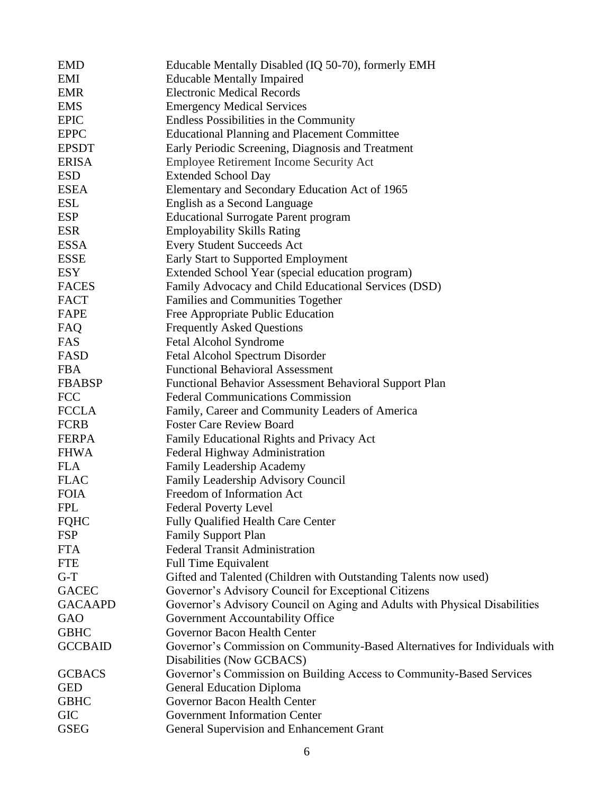| <b>EMD</b>     | Educable Mentally Disabled (IQ 50-70), formerly EMH                        |
|----------------|----------------------------------------------------------------------------|
| EMI            | <b>Educable Mentally Impaired</b>                                          |
| <b>EMR</b>     | <b>Electronic Medical Records</b>                                          |
| <b>EMS</b>     | <b>Emergency Medical Services</b>                                          |
| <b>EPIC</b>    | Endless Possibilities in the Community                                     |
| <b>EPPC</b>    | <b>Educational Planning and Placement Committee</b>                        |
| <b>EPSDT</b>   | Early Periodic Screening, Diagnosis and Treatment                          |
| <b>ERISA</b>   | Employee Retirement Income Security Act                                    |
| <b>ESD</b>     | <b>Extended School Day</b>                                                 |
| <b>ESEA</b>    | Elementary and Secondary Education Act of 1965                             |
| <b>ESL</b>     | English as a Second Language                                               |
| <b>ESP</b>     | <b>Educational Surrogate Parent program</b>                                |
| <b>ESR</b>     | <b>Employability Skills Rating</b>                                         |
| <b>ESSA</b>    | <b>Every Student Succeeds Act</b>                                          |
| <b>ESSE</b>    | <b>Early Start to Supported Employment</b>                                 |
| <b>ESY</b>     | Extended School Year (special education program)                           |
| <b>FACES</b>   | Family Advocacy and Child Educational Services (DSD)                       |
| <b>FACT</b>    | Families and Communities Together                                          |
| FAPE           | Free Appropriate Public Education                                          |
| FAQ            | <b>Frequently Asked Questions</b>                                          |
| FAS            | Fetal Alcohol Syndrome                                                     |
| <b>FASD</b>    | Fetal Alcohol Spectrum Disorder                                            |
| <b>FBA</b>     | <b>Functional Behavioral Assessment</b>                                    |
| <b>FBABSP</b>  | Functional Behavior Assessment Behavioral Support Plan                     |
| <b>FCC</b>     | <b>Federal Communications Commission</b>                                   |
| <b>FCCLA</b>   | Family, Career and Community Leaders of America                            |
| <b>FCRB</b>    | <b>Foster Care Review Board</b>                                            |
| <b>FERPA</b>   | Family Educational Rights and Privacy Act                                  |
| <b>FHWA</b>    | Federal Highway Administration                                             |
| <b>FLA</b>     | Family Leadership Academy                                                  |
| <b>FLAC</b>    | Family Leadership Advisory Council                                         |
| <b>FOIA</b>    | Freedom of Information Act                                                 |
| <b>FPL</b>     | <b>Federal Poverty Level</b>                                               |
| <b>FQHC</b>    | <b>Fully Qualified Health Care Center</b>                                  |
| <b>FSP</b>     | <b>Family Support Plan</b>                                                 |
| <b>FTA</b>     | <b>Federal Transit Administration</b>                                      |
| <b>FTE</b>     | <b>Full Time Equivalent</b>                                                |
| $G-T$          | Gifted and Talented (Children with Outstanding Talents now used)           |
| <b>GACEC</b>   | Governor's Advisory Council for Exceptional Citizens                       |
| <b>GACAAPD</b> | Governor's Advisory Council on Aging and Adults with Physical Disabilities |
| GAO            | Government Accountability Office                                           |
| <b>GBHC</b>    | Governor Bacon Health Center                                               |
| <b>GCCBAID</b> | Governor's Commission on Community-Based Alternatives for Individuals with |
|                | Disabilities (Now GCBACS)                                                  |
| <b>GCBACS</b>  | Governor's Commission on Building Access to Community-Based Services       |
| <b>GED</b>     | <b>General Education Diploma</b>                                           |
| <b>GBHC</b>    | Governor Bacon Health Center                                               |
| <b>GIC</b>     | <b>Government Information Center</b>                                       |
| <b>GSEG</b>    | General Supervision and Enhancement Grant                                  |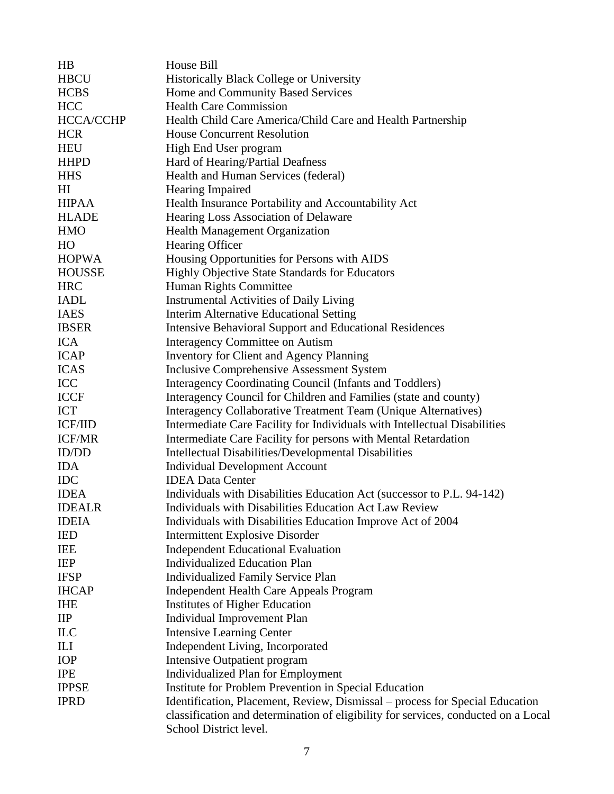| HB                       | House Bill                                                                         |
|--------------------------|------------------------------------------------------------------------------------|
| <b>HBCU</b>              | <b>Historically Black College or University</b>                                    |
| <b>HCBS</b>              | Home and Community Based Services                                                  |
| <b>HCC</b>               | <b>Health Care Commission</b>                                                      |
| <b>HCCA/CCHP</b>         | Health Child Care America/Child Care and Health Partnership                        |
| <b>HCR</b>               | <b>House Concurrent Resolution</b>                                                 |
| <b>HEU</b>               | High End User program                                                              |
| <b>HHPD</b>              | Hard of Hearing/Partial Deafness                                                   |
| <b>HHS</b>               | Health and Human Services (federal)                                                |
| H <sub>I</sub>           | Hearing Impaired                                                                   |
| <b>HIPAA</b>             | Health Insurance Portability and Accountability Act                                |
| <b>HLADE</b>             | Hearing Loss Association of Delaware                                               |
| <b>HMO</b>               | <b>Health Management Organization</b>                                              |
| HO                       | Hearing Officer                                                                    |
| <b>HOPWA</b>             | Housing Opportunities for Persons with AIDS                                        |
| <b>HOUSSE</b>            | Highly Objective State Standards for Educators                                     |
| <b>HRC</b>               | Human Rights Committee                                                             |
| <b>IADL</b>              | <b>Instrumental Activities of Daily Living</b>                                     |
| <b>IAES</b>              | <b>Interim Alternative Educational Setting</b>                                     |
| <b>IBSER</b>             | <b>Intensive Behavioral Support and Educational Residences</b>                     |
| <b>ICA</b>               | <b>Interagency Committee on Autism</b>                                             |
| <b>ICAP</b>              | <b>Inventory for Client and Agency Planning</b>                                    |
| <b>ICAS</b>              | Inclusive Comprehensive Assessment System                                          |
| ICC                      | Interagency Coordinating Council (Infants and Toddlers)                            |
| <b>ICCF</b>              | Interagency Council for Children and Families (state and county)                   |
| ICT                      | Interagency Collaborative Treatment Team (Unique Alternatives)                     |
| <b>ICF/IID</b>           | Intermediate Care Facility for Individuals with Intellectual Disabilities          |
| <b>ICF/MR</b>            | Intermediate Care Facility for persons with Mental Retardation                     |
| ID/DD                    | Intellectual Disabilities/Developmental Disabilities                               |
| <b>IDA</b>               | <b>Individual Development Account</b>                                              |
| <b>IDC</b>               | <b>IDEA Data Center</b>                                                            |
| <b>IDEA</b>              | Individuals with Disabilities Education Act (successor to P.L. 94-142)             |
| <b>IDEALR</b>            | Individuals with Disabilities Education Act Law Review                             |
| <b>IDEIA</b>             | Individuals with Disabilities Education Improve Act of 2004                        |
| <b>IED</b>               | <b>Intermittent Explosive Disorder</b>                                             |
| <b>IEE</b>               | <b>Independent Educational Evaluation</b>                                          |
| IEP                      | <b>Individualized Education Plan</b>                                               |
| <b>IFSP</b>              | <b>Individualized Family Service Plan</b>                                          |
| <b>IHCAP</b>             | <b>Independent Health Care Appeals Program</b>                                     |
| <b>IHE</b>               | <b>Institutes of Higher Education</b>                                              |
| $\mathbf{II} \mathbf{P}$ | <b>Individual Improvement Plan</b>                                                 |
| <b>ILC</b>               | <b>Intensive Learning Center</b>                                                   |
| ILI                      | Independent Living, Incorporated                                                   |
| IOP                      | <b>Intensive Outpatient program</b>                                                |
| <b>IPE</b>               | <b>Individualized Plan for Employment</b>                                          |
| <b>IPPSE</b>             | Institute for Problem Prevention in Special Education                              |
| <b>IPRD</b>              | Identification, Placement, Review, Dismissal – process for Special Education       |
|                          | classification and determination of eligibility for services, conducted on a Local |
|                          | School District level.                                                             |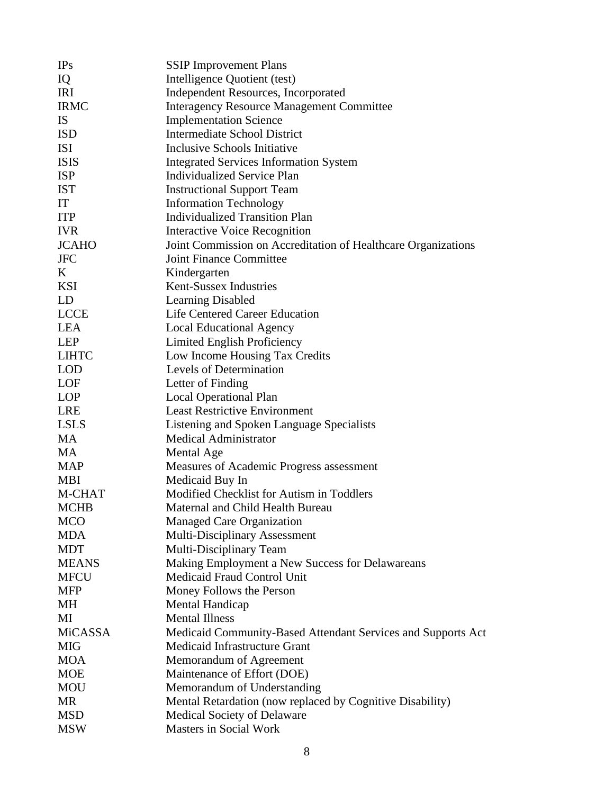| IPs          | <b>SSIP</b> Improvement Plans                                 |
|--------------|---------------------------------------------------------------|
| IQ           | Intelligence Quotient (test)                                  |
| <b>IRI</b>   | <b>Independent Resources, Incorporated</b>                    |
| <b>IRMC</b>  | <b>Interagency Resource Management Committee</b>              |
| <b>IS</b>    | <b>Implementation Science</b>                                 |
| <b>ISD</b>   | Intermediate School District                                  |
| <b>ISI</b>   | Inclusive Schools Initiative                                  |
| <b>ISIS</b>  | <b>Integrated Services Information System</b>                 |
| <b>ISP</b>   | <b>Individualized Service Plan</b>                            |
| <b>IST</b>   | <b>Instructional Support Team</b>                             |
| IT           | <b>Information Technology</b>                                 |
| <b>ITP</b>   | <b>Individualized Transition Plan</b>                         |
| <b>IVR</b>   | <b>Interactive Voice Recognition</b>                          |
| <b>JCAHO</b> | Joint Commission on Accreditation of Healthcare Organizations |
| <b>JFC</b>   | Joint Finance Committee                                       |
| K            | Kindergarten                                                  |
| <b>KSI</b>   | Kent-Sussex Industries                                        |
| LD           | <b>Learning Disabled</b>                                      |
| <b>LCCE</b>  | Life Centered Career Education                                |
| <b>LEA</b>   | <b>Local Educational Agency</b>                               |
| <b>LEP</b>   | Limited English Proficiency                                   |
| <b>LIHTC</b> | Low Income Housing Tax Credits                                |
| <b>LOD</b>   | Levels of Determination                                       |
| LOF          | Letter of Finding                                             |
| <b>LOP</b>   | <b>Local Operational Plan</b>                                 |
| <b>LRE</b>   | <b>Least Restrictive Environment</b>                          |
| <b>LSLS</b>  | Listening and Spoken Language Specialists                     |
| <b>MA</b>    | <b>Medical Administrator</b>                                  |
| <b>MA</b>    | Mental Age                                                    |
| <b>MAP</b>   | Measures of Academic Progress assessment                      |
| <b>MBI</b>   | Medicaid Buy In                                               |
| M-CHAT       | Modified Checklist for Autism in Toddlers                     |
| <b>MCHB</b>  | Maternal and Child Health Bureau                              |
| MCO          | Managed Care Organization                                     |
| <b>MDA</b>   | <b>Multi-Disciplinary Assessment</b>                          |
| <b>MDT</b>   | Multi-Disciplinary Team                                       |
| <b>MEANS</b> | Making Employment a New Success for Delawareans               |
| <b>MFCU</b>  | Medicaid Fraud Control Unit                                   |
| <b>MFP</b>   | Money Follows the Person                                      |
| MH           | Mental Handicap                                               |
| MI           | <b>Mental Illness</b>                                         |
| MiCASSA      | Medicaid Community-Based Attendant Services and Supports Act  |
| <b>MIG</b>   | Medicaid Infrastructure Grant                                 |
| <b>MOA</b>   | Memorandum of Agreement                                       |
| <b>MOE</b>   | Maintenance of Effort (DOE)                                   |
| <b>MOU</b>   | Memorandum of Understanding                                   |
| MR           | Mental Retardation (now replaced by Cognitive Disability)     |
| <b>MSD</b>   | <b>Medical Society of Delaware</b>                            |
| <b>MSW</b>   | Masters in Social Work                                        |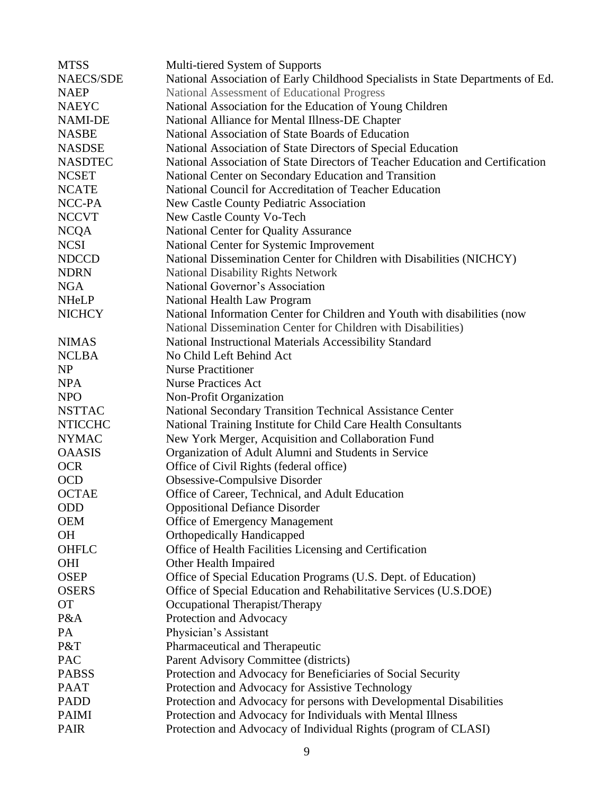| <b>MTSS</b>      | Multi-tiered System of Supports                                                 |
|------------------|---------------------------------------------------------------------------------|
| <b>NAECS/SDE</b> | National Association of Early Childhood Specialists in State Departments of Ed. |
| <b>NAEP</b>      | National Assessment of Educational Progress                                     |
| <b>NAEYC</b>     | National Association for the Education of Young Children                        |
| NAMI-DE          | National Alliance for Mental Illness-DE Chapter                                 |
| <b>NASBE</b>     | National Association of State Boards of Education                               |
| <b>NASDSE</b>    | National Association of State Directors of Special Education                    |
| <b>NASDTEC</b>   | National Association of State Directors of Teacher Education and Certification  |
| <b>NCSET</b>     | National Center on Secondary Education and Transition                           |
| <b>NCATE</b>     | National Council for Accreditation of Teacher Education                         |
| NCC-PA           | New Castle County Pediatric Association                                         |
| <b>NCCVT</b>     | New Castle County Vo-Tech                                                       |
| <b>NCQA</b>      | National Center for Quality Assurance                                           |
| <b>NCSI</b>      | National Center for Systemic Improvement                                        |
| <b>NDCCD</b>     | National Dissemination Center for Children with Disabilities (NICHCY)           |
| <b>NDRN</b>      | <b>National Disability Rights Network</b>                                       |
| <b>NGA</b>       | National Governor's Association                                                 |
| <b>NHeLP</b>     | National Health Law Program                                                     |
| <b>NICHCY</b>    | National Information Center for Children and Youth with disabilities (now       |
|                  | National Dissemination Center for Children with Disabilities)                   |
| <b>NIMAS</b>     | National Instructional Materials Accessibility Standard                         |
| <b>NCLBA</b>     | No Child Left Behind Act                                                        |
| <b>NP</b>        | <b>Nurse Practitioner</b>                                                       |
| <b>NPA</b>       | <b>Nurse Practices Act</b>                                                      |
| <b>NPO</b>       | Non-Profit Organization                                                         |
| <b>NSTTAC</b>    | National Secondary Transition Technical Assistance Center                       |
| <b>NTICCHC</b>   | National Training Institute for Child Care Health Consultants                   |
| <b>NYMAC</b>     | New York Merger, Acquisition and Collaboration Fund                             |
| <b>OAASIS</b>    | Organization of Adult Alumni and Students in Service                            |
| <b>OCR</b>       | Office of Civil Rights (federal office)                                         |
| <b>OCD</b>       | Obsessive-Compulsive Disorder                                                   |
| <b>OCTAE</b>     | Office of Career, Technical, and Adult Education                                |
| <b>ODD</b>       | <b>Oppositional Defiance Disorder</b>                                           |
| <b>OEM</b>       | <b>Office of Emergency Management</b>                                           |
| <b>OH</b>        | <b>Orthopedically Handicapped</b>                                               |
| <b>OHFLC</b>     | Office of Health Facilities Licensing and Certification                         |
| <b>OHI</b>       | Other Health Impaired                                                           |
| <b>OSEP</b>      | Office of Special Education Programs (U.S. Dept. of Education)                  |
| <b>OSERS</b>     | Office of Special Education and Rehabilitative Services (U.S.DOE)               |
| <b>OT</b>        | Occupational Therapist/Therapy                                                  |
| P&A              | Protection and Advocacy                                                         |
| PA               | Physician's Assistant                                                           |
| P&T              | Pharmaceutical and Therapeutic                                                  |
| PAC              | Parent Advisory Committee (districts)                                           |
| <b>PABSS</b>     | Protection and Advocacy for Beneficiaries of Social Security                    |
| <b>PAAT</b>      | Protection and Advocacy for Assistive Technology                                |
| <b>PADD</b>      | Protection and Advocacy for persons with Developmental Disabilities             |
| <b>PAIMI</b>     | Protection and Advocacy for Individuals with Mental Illness                     |
| <b>PAIR</b>      | Protection and Advocacy of Individual Rights (program of CLASI)                 |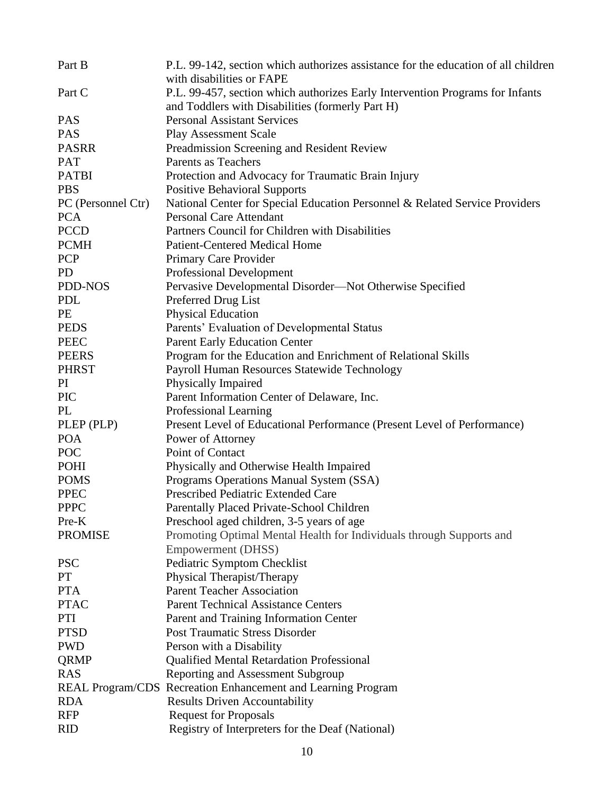| Part B             | P.L. 99-142, section which authorizes assistance for the education of all children                                                |
|--------------------|-----------------------------------------------------------------------------------------------------------------------------------|
|                    | with disabilities or FAPE                                                                                                         |
| Part C             | P.L. 99-457, section which authorizes Early Intervention Programs for Infants<br>and Toddlers with Disabilities (formerly Part H) |
| <b>PAS</b>         | <b>Personal Assistant Services</b>                                                                                                |
| <b>PAS</b>         | <b>Play Assessment Scale</b>                                                                                                      |
| <b>PASRR</b>       | Preadmission Screening and Resident Review                                                                                        |
| <b>PAT</b>         | Parents as Teachers                                                                                                               |
| <b>PATBI</b>       | Protection and Advocacy for Traumatic Brain Injury                                                                                |
| <b>PBS</b>         | <b>Positive Behavioral Supports</b>                                                                                               |
| PC (Personnel Ctr) | National Center for Special Education Personnel & Related Service Providers                                                       |
| <b>PCA</b>         | <b>Personal Care Attendant</b>                                                                                                    |
| <b>PCCD</b>        | Partners Council for Children with Disabilities                                                                                   |
| <b>PCMH</b>        | <b>Patient-Centered Medical Home</b>                                                                                              |
| <b>PCP</b>         | Primary Care Provider                                                                                                             |
| <b>PD</b>          | <b>Professional Development</b>                                                                                                   |
| PDD-NOS            | Pervasive Developmental Disorder—Not Otherwise Specified                                                                          |
| <b>PDL</b>         | Preferred Drug List                                                                                                               |
| PE                 | <b>Physical Education</b>                                                                                                         |
| <b>PEDS</b>        | Parents' Evaluation of Developmental Status                                                                                       |
| <b>PEEC</b>        | <b>Parent Early Education Center</b>                                                                                              |
| <b>PEERS</b>       | Program for the Education and Enrichment of Relational Skills                                                                     |
| <b>PHRST</b>       | Payroll Human Resources Statewide Technology                                                                                      |
| PI                 | Physically Impaired                                                                                                               |
| <b>PIC</b>         | Parent Information Center of Delaware, Inc.                                                                                       |
| PL                 | Professional Learning                                                                                                             |
| PLEP (PLP)         | Present Level of Educational Performance (Present Level of Performance)                                                           |
| <b>POA</b>         | Power of Attorney                                                                                                                 |
| POC                | Point of Contact                                                                                                                  |
| POHI               | Physically and Otherwise Health Impaired                                                                                          |
| <b>POMS</b>        | Programs Operations Manual System (SSA)                                                                                           |
| <b>PPEC</b>        | Prescribed Pediatric Extended Care                                                                                                |
| <b>PPPC</b>        | Parentally Placed Private-School Children                                                                                         |
| Pre-K              | Preschool aged children, 3-5 years of age                                                                                         |
| <b>PROMISE</b>     | Promoting Optimal Mental Health for Individuals through Supports and                                                              |
|                    | <b>Empowerment (DHSS)</b>                                                                                                         |
| <b>PSC</b>         | Pediatric Symptom Checklist                                                                                                       |
| <b>PT</b>          | Physical Therapist/Therapy                                                                                                        |
| <b>PTA</b>         | <b>Parent Teacher Association</b>                                                                                                 |
| <b>PTAC</b>        | <b>Parent Technical Assistance Centers</b>                                                                                        |
| PTI                | Parent and Training Information Center                                                                                            |
| <b>PTSD</b>        | <b>Post Traumatic Stress Disorder</b>                                                                                             |
| <b>PWD</b>         | Person with a Disability                                                                                                          |
| QRMP               | <b>Qualified Mental Retardation Professional</b>                                                                                  |
| <b>RAS</b>         | <b>Reporting and Assessment Subgroup</b>                                                                                          |
|                    | REAL Program/CDS Recreation Enhancement and Learning Program                                                                      |
| <b>RDA</b>         | <b>Results Driven Accountability</b>                                                                                              |
| <b>RFP</b>         | <b>Request for Proposals</b>                                                                                                      |
| <b>RID</b>         | Registry of Interpreters for the Deaf (National)                                                                                  |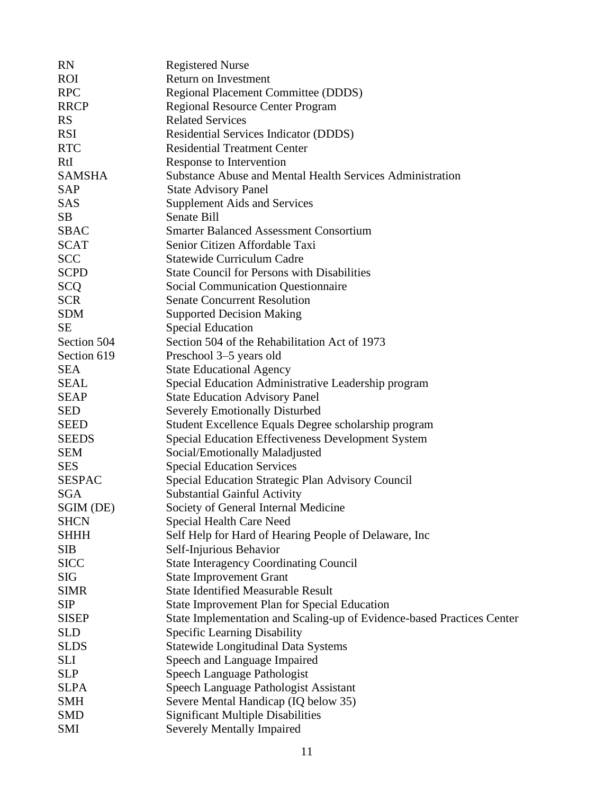| <b>RN</b>     | <b>Registered Nurse</b>                                                |
|---------------|------------------------------------------------------------------------|
| <b>ROI</b>    | Return on Investment                                                   |
| <b>RPC</b>    | Regional Placement Committee (DDDS)                                    |
| <b>RRCP</b>   | <b>Regional Resource Center Program</b>                                |
| <b>RS</b>     | <b>Related Services</b>                                                |
| <b>RSI</b>    | Residential Services Indicator (DDDS)                                  |
| <b>RTC</b>    | <b>Residential Treatment Center</b>                                    |
| <b>RtI</b>    | Response to Intervention                                               |
| <b>SAMSHA</b> | <b>Substance Abuse and Mental Health Services Administration</b>       |
| SAP           | <b>State Advisory Panel</b>                                            |
| <b>SAS</b>    | <b>Supplement Aids and Services</b>                                    |
| <b>SB</b>     | Senate Bill                                                            |
| <b>SBAC</b>   | <b>Smarter Balanced Assessment Consortium</b>                          |
| <b>SCAT</b>   | Senior Citizen Affordable Taxi                                         |
| <b>SCC</b>    | <b>Statewide Curriculum Cadre</b>                                      |
| <b>SCPD</b>   | <b>State Council for Persons with Disabilities</b>                     |
| <b>SCQ</b>    | <b>Social Communication Questionnaire</b>                              |
| <b>SCR</b>    | <b>Senate Concurrent Resolution</b>                                    |
| <b>SDM</b>    | <b>Supported Decision Making</b>                                       |
| <b>SE</b>     | <b>Special Education</b>                                               |
| Section 504   | Section 504 of the Rehabilitation Act of 1973                          |
| Section 619   | Preschool 3–5 years old                                                |
| <b>SEA</b>    | <b>State Educational Agency</b>                                        |
| SEAL          | Special Education Administrative Leadership program                    |
| <b>SEAP</b>   | <b>State Education Advisory Panel</b>                                  |
| <b>SED</b>    | <b>Severely Emotionally Disturbed</b>                                  |
| <b>SEED</b>   | Student Excellence Equals Degree scholarship program                   |
| <b>SEEDS</b>  | <b>Special Education Effectiveness Development System</b>              |
| <b>SEM</b>    | Social/Emotionally Maladjusted                                         |
| <b>SES</b>    | <b>Special Education Services</b>                                      |
| <b>SESPAC</b> | Special Education Strategic Plan Advisory Council                      |
| <b>SGA</b>    | <b>Substantial Gainful Activity</b>                                    |
| SGIM (DE)     | Society of General Internal Medicine                                   |
| <b>SHCN</b>   | <b>Special Health Care Need</b>                                        |
| <b>SHHH</b>   | Self Help for Hard of Hearing People of Delaware, Inc                  |
| <b>SIB</b>    | Self-Injurious Behavior                                                |
| <b>SICC</b>   | <b>State Interagency Coordinating Council</b>                          |
| <b>SIG</b>    | <b>State Improvement Grant</b>                                         |
| <b>SIMR</b>   | <b>State Identified Measurable Result</b>                              |
| <b>SIP</b>    | <b>State Improvement Plan for Special Education</b>                    |
| <b>SISEP</b>  | State Implementation and Scaling-up of Evidence-based Practices Center |
| <b>SLD</b>    | <b>Specific Learning Disability</b>                                    |
| <b>SLDS</b>   | <b>Statewide Longitudinal Data Systems</b>                             |
| <b>SLI</b>    | Speech and Language Impaired                                           |
| <b>SLP</b>    | Speech Language Pathologist                                            |
| <b>SLPA</b>   | Speech Language Pathologist Assistant                                  |
| <b>SMH</b>    | Severe Mental Handicap (IQ below 35)                                   |
| <b>SMD</b>    | <b>Significant Multiple Disabilities</b>                               |
| <b>SMI</b>    | Severely Mentally Impaired                                             |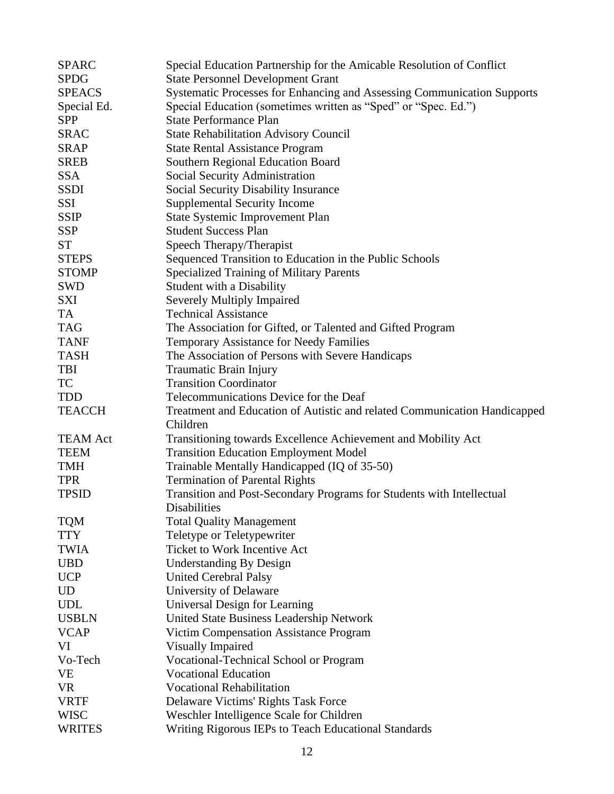| <b>SPARC</b>    | Special Education Partnership for the Amicable Resolution of Conflict     |
|-----------------|---------------------------------------------------------------------------|
| <b>SPDG</b>     | <b>State Personnel Development Grant</b>                                  |
| <b>SPEACS</b>   | Systematic Processes for Enhancing and Assessing Communication Supports   |
| Special Ed.     | Special Education (sometimes written as "Sped" or "Spec. Ed.")            |
| <b>SPP</b>      | <b>State Performance Plan</b>                                             |
| <b>SRAC</b>     | <b>State Rehabilitation Advisory Council</b>                              |
| <b>SRAP</b>     | <b>State Rental Assistance Program</b>                                    |
| <b>SREB</b>     | Southern Regional Education Board                                         |
| <b>SSA</b>      | <b>Social Security Administration</b>                                     |
| <b>SSDI</b>     | <b>Social Security Disability Insurance</b>                               |
| SSI             | <b>Supplemental Security Income</b>                                       |
| <b>SSIP</b>     | State Systemic Improvement Plan                                           |
| <b>SSP</b>      | <b>Student Success Plan</b>                                               |
| <b>ST</b>       | Speech Therapy/Therapist                                                  |
| <b>STEPS</b>    | Sequenced Transition to Education in the Public Schools                   |
| <b>STOMP</b>    | <b>Specialized Training of Military Parents</b>                           |
| <b>SWD</b>      | <b>Student with a Disability</b>                                          |
| <b>SXI</b>      | <b>Severely Multiply Impaired</b>                                         |
| TA              | <b>Technical Assistance</b>                                               |
| <b>TAG</b>      | The Association for Gifted, or Talented and Gifted Program                |
| <b>TANF</b>     | <b>Temporary Assistance for Needy Families</b>                            |
| <b>TASH</b>     | The Association of Persons with Severe Handicaps                          |
| <b>TBI</b>      | Traumatic Brain Injury                                                    |
| <b>TC</b>       | <b>Transition Coordinator</b>                                             |
| TDD             | Telecommunications Device for the Deaf                                    |
| <b>TEACCH</b>   | Treatment and Education of Autistic and related Communication Handicapped |
|                 | Children                                                                  |
| <b>TEAM Act</b> | Transitioning towards Excellence Achievement and Mobility Act             |
| <b>TEEM</b>     | <b>Transition Education Employment Model</b>                              |
| <b>TMH</b>      | Trainable Mentally Handicapped (IQ of 35-50)                              |
| <b>TPR</b>      | <b>Termination of Parental Rights</b>                                     |
| <b>TPSID</b>    | Transition and Post-Secondary Programs for Students with Intellectual     |
|                 | Disabilities                                                              |
| <b>TQM</b>      | <b>Total Quality Management</b>                                           |
| <b>TTY</b>      | Teletype or Teletypewriter                                                |
| <b>TWIA</b>     | <b>Ticket to Work Incentive Act</b>                                       |
| <b>UBD</b>      | <b>Understanding By Design</b>                                            |
| <b>UCP</b>      | <b>United Cerebral Palsy</b>                                              |
| <b>UD</b>       | University of Delaware                                                    |
| <b>UDL</b>      | Universal Design for Learning                                             |
| <b>USBLN</b>    | United State Business Leadership Network                                  |
| <b>VCAP</b>     | Victim Compensation Assistance Program                                    |
| VI              | Visually Impaired                                                         |
| Vo-Tech         | <b>Vocational-Technical School or Program</b>                             |
| <b>VE</b>       | <b>Vocational Education</b>                                               |
| <b>VR</b>       | <b>Vocational Rehabilitation</b>                                          |
| <b>VRTF</b>     | Delaware Victims' Rights Task Force                                       |
| <b>WISC</b>     | Weschler Intelligence Scale for Children                                  |
| <b>WRITES</b>   | Writing Rigorous IEPs to Teach Educational Standards                      |
|                 |                                                                           |